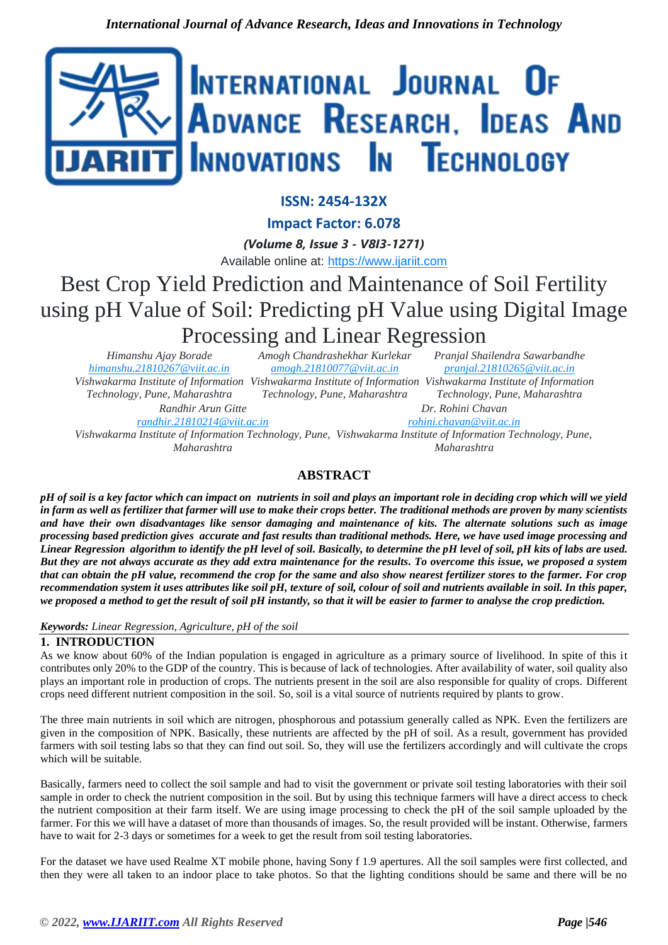

## **ISSN: 2454-132X**

**Impact Factor: 6.078**

*(Volume 8, Issue 3 - V8I3-1271)* Available online at: [https://www.ijariit.com](https://www.ijariit.com/?utm_source=pdf&utm_medium=edition&utm_campaign=OmAkSols&utm_term=V8I3-1271)

# Best Crop Yield Prediction and Maintenance of Soil Fertility using pH Value of Soil: Predicting pH Value using Digital Image Processing and Linear Regression

*Himanshu Ajay Borade [himanshu.21810267@viit.ac.in](mailto:himanshu.21810267@viit.ac.in) Vishwakarma Institute of Information Vishwakarma Institute of Information Vishwakarma Institute of Information Technology, Pune, Maharashtra*

*Amogh Chandrashekhar Kurlekar [amogh.21810077@viit.ac.in](mailto:amogh.21810077@viit.ac.in)*

*Randhir Arun Gitte*

*Technology, Pune, Maharashtra*

*Pranjal Shailendra Sawarbandhe [pranjal.21810265@viit.ac.in](mailto:pranjal.21810265@viit.ac.in)*

*Technology, Pune, Maharashtra Dr. Rohini Chavan*

*[randhir.21810214@viit.ac.in](mailto:randhir.21810214@viit.ac.in)*

*[rohini.chavan@viit.ac.in](mailto:rohini.chavan@viit.ac.in)*

*Vishwakarma Institute of Information Technology, Pune, Vishwakarma Institute of Information Technology, Pune, Maharashtra Maharashtra*

# **ABSTRACT**

*pH of soil is a key factor which can impact on nutrients in soil and plays an important role in deciding crop which will we yield in farm as well as fertilizer that farmer will use to make their crops better. The traditional methods are proven by many scientists and have their own disadvantages like sensor damaging and maintenance of kits. The alternate solutions such as image processing based prediction gives accurate and fast results than traditional methods. Here, we have used image processing and Linear Regression algorithm to identify the pH level of soil. Basically, to determine the pH level of soil, pH kits of labs are used. But they are not always accurate as they add extra maintenance for the results. To overcome this issue, we proposed a system that can obtain the pH value, recommend the crop for the same and also show nearest fertilizer stores to the farmer. For crop recommendation system it uses attributes like soil pH, texture of soil, colour of soil and nutrients available in soil. In this paper, we proposed a method to get the result of soil pH instantly, so that it will be easier to farmer to analyse the crop prediction.*

## *Keywords: Linear Regression, Agriculture, pH of the soil*

## **1. INTRODUCTION**

As we know about 60% of the Indian population is engaged in agriculture as a primary source of livelihood. In spite of this it contributes only 20% to the GDP of the country. This is because of lack of technologies. After availability of water, soil quality also plays an important role in production of crops. The nutrients present in the soil are also responsible for quality of crops. Different crops need different nutrient composition in the soil. So, soil is a vital source of nutrients required by plants to grow.

The three main nutrients in soil which are nitrogen, phosphorous and potassium generally called as NPK. Even the fertilizers are given in the composition of NPK. Basically, these nutrients are affected by the pH of soil. As a result, government has provided farmers with soil testing labs so that they can find out soil. So, they will use the fertilizers accordingly and will cultivate the crops which will be suitable.

Basically, farmers need to collect the soil sample and had to visit the government or private soil testing laboratories with their soil sample in order to check the nutrient composition in the soil. But by using this technique farmers will have a direct access to check the nutrient composition at their farm itself. We are using image processing to check the pH of the soil sample uploaded by the farmer. For this we will have a dataset of more than thousands of images. So, the result provided will be instant. Otherwise, farmers have to wait for 2-3 days or sometimes for a week to get the result from soil testing laboratories.

For the dataset we have used Realme XT mobile phone, having Sony f 1.9 apertures. All the soil samples were first collected, and then they were all taken to an indoor place to take photos. So that the lighting conditions should be same and there will be no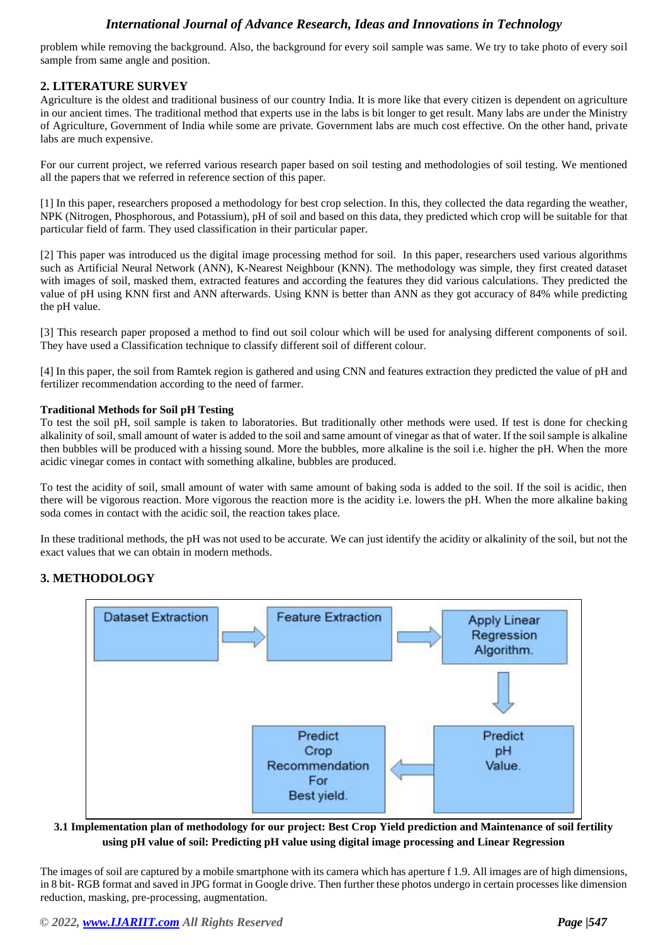problem while removing the background. Also, the background for every soil sample was same. We try to take photo of every soil sample from same angle and position.

## **2. LITERATURE SURVEY**

Agriculture is the oldest and traditional business of our country India. It is more like that every citizen is dependent on agriculture in our ancient times. The traditional method that experts use in the labs is bit longer to get result. Many labs are under the Ministry of Agriculture, Government of India while some are private. Government labs are much cost effective. On the other hand, private labs are much expensive.

For our current project, we referred various research paper based on soil testing and methodologies of soil testing. We mentioned all the papers that we referred in reference section of this paper.

[1] In this paper, researchers proposed a methodology for best crop selection. In this, they collected the data regarding the weather, NPK (Nitrogen, Phosphorous, and Potassium), pH of soil and based on this data, they predicted which crop will be suitable for that particular field of farm. They used classification in their particular paper.

[2] This paper was introduced us the digital image processing method for soil. In this paper, researchers used various algorithms such as Artificial Neural Network (ANN), K-Nearest Neighbour (KNN). The methodology was simple, they first created dataset with images of soil, masked them, extracted features and according the features they did various calculations. They predicted the value of pH using KNN first and ANN afterwards. Using KNN is better than ANN as they got accuracy of 84% while predicting the pH value.

[3] This research paper proposed a method to find out soil colour which will be used for analysing different components of soil. They have used a Classification technique to classify different soil of different colour.

[4] In this paper, the soil from Ramtek region is gathered and using CNN and features extraction they predicted the value of pH and fertilizer recommendation according to the need of farmer.

#### **Traditional Methods for Soil pH Testing**

To test the soil pH, soil sample is taken to laboratories. But traditionally other methods were used. If test is done for checking alkalinity of soil, small amount of water is added to the soil and same amount of vinegar as that of water. If the soil sample is alkaline then bubbles will be produced with a hissing sound. More the bubbles, more alkaline is the soil i.e. higher the pH. When the more acidic vinegar comes in contact with something alkaline, bubbles are produced.

To test the acidity of soil, small amount of water with same amount of baking soda is added to the soil. If the soil is acidic, then there will be vigorous reaction. More vigorous the reaction more is the acidity i.e. lowers the pH. When the more alkaline baking soda comes in contact with the acidic soil, the reaction takes place.

In these traditional methods, the pH was not used to be accurate. We can just identify the acidity or alkalinity of the soil, but not the exact values that we can obtain in modern methods.

## **3. METHODOLOGY**



#### **3.1 Implementation plan of methodology for our project: Best Crop Yield prediction and Maintenance of soil fertility using pH value of soil: Predicting pH value using digital image processing and Linear Regression**

The images of soil are captured by a mobile smartphone with its camera which has aperture f 1.9. All images are of high dimensions, in 8 bit- RGB format and saved in JPG format in Google drive. Then further these photos undergo in certain processes like dimension reduction, masking, pre-processing, augmentation.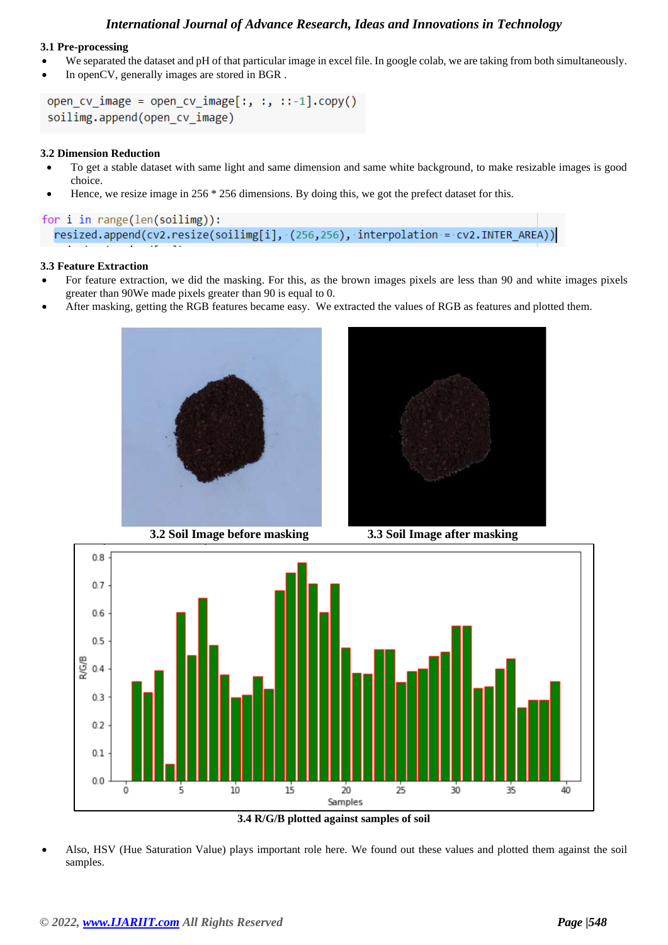#### **3.1 Pre-processing**

- We separated the dataset and pH of that particular image in excel file. In google colab, we are taking from both simultaneously.
- In openCV, generally images are stored in BGR.

```
open_cv_image = open_cv_image[:, :, ::-1].copy()
soilimg.append(open cv image)
```
#### **3.2 Dimension Reduction**

- To get a stable dataset with same light and same dimension and same white background, to make resizable images is good choice.
- Hence, we resize image in 256 \* 256 dimensions. By doing this, we got the prefect dataset for this.

```
for i in range(len(soilimg)):
 resized.append(cv2.resize(soilimg[i], (256,256), interpolation = cv2.INTER_AREA))
```
#### **3.3 Feature Extraction**

- For feature extraction, we did the masking. For this, as the brown images pixels are less than 90 and white images pixels greater than 90We made pixels greater than 90 is equal to 0.
- After masking, getting the RGB features became easy. We extracted the values of RGB as features and plotted them.





**3.2 Soil Image before masking 3.3 Soil Image after masking**



**3.4 R/G/B plotted against samples of soil**

• Also, HSV (Hue Saturation Value) plays important role here. We found out these values and plotted them against the soil samples.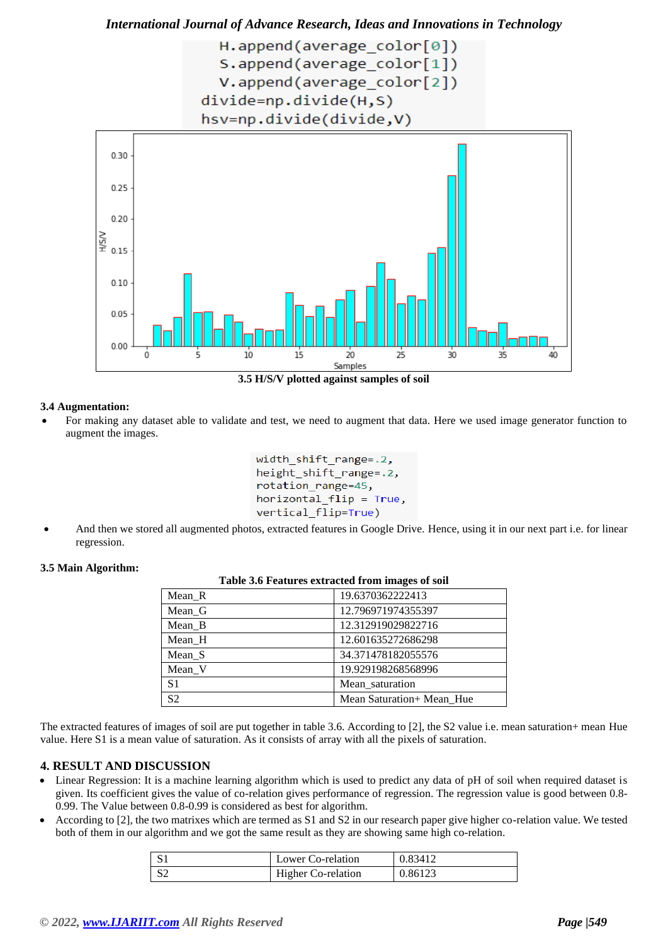

**3.5 H/S/V plotted against samples of soil**

#### **3.4 Augmentation:**

• For making any dataset able to validate and test, we need to augment that data. Here we used image generator function to augment the images.

```
width shift range=.2,
height_shift_range=.2,
rotation range=45,
horizontal flip = True,
vertical flip=True)
```
• And then we stored all augmented photos, extracted features in Google Drive. Hence, using it in our next part i.e. for linear regression.

#### **3.5 Main Algorithm:**

| Table 3.6 Features extracted from images of soil |                           |  |
|--------------------------------------------------|---------------------------|--|
| $Mean_R$                                         | 19.6370362222413          |  |
| Mean G                                           | 12.796971974355397        |  |
| Mean B                                           | 12.312919029822716        |  |
| Mean H                                           | 12.601635272686298        |  |
| Mean S                                           | 34.371478182055576        |  |
| Mean V                                           | 19.929198268568996        |  |
| S <sub>1</sub>                                   | Mean saturation           |  |
| S <sub>2</sub>                                   | Mean Saturation+ Mean Hue |  |

The extracted features of images of soil are put together in table 3.6. According to [2], the S2 value i.e. mean saturation+ mean Hue value. Here S1 is a mean value of saturation. As it consists of array with all the pixels of saturation.

## **4. RESULT AND DISCUSSION**

- Linear Regression: It is a machine learning algorithm which is used to predict any data of pH of soil when required dataset is given. Its coefficient gives the value of co-relation gives performance of regression. The regression value is good between 0.8- 0.99. The Value between 0.8-0.99 is considered as best for algorithm.
- According to [2], the two matrixes which are termed as S1 and S2 in our research paper give higher co-relation value. We tested both of them in our algorithm and we got the same result as they are showing same high co-relation.

|              | Lower Co-relation         | 0.83412 |
|--------------|---------------------------|---------|
| $\mathsf{C}$ | <b>Higher Co-relation</b> | 0.86123 |